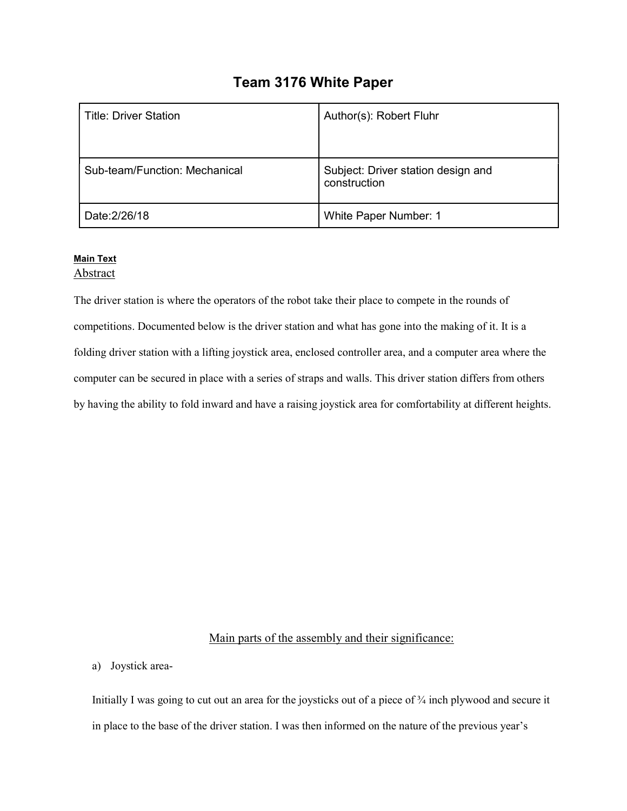# Team 3176 White Paper

| <b>Title: Driver Station</b>  | Author(s): Robert Fluhr                            |
|-------------------------------|----------------------------------------------------|
| Sub-team/Function: Mechanical | Subject: Driver station design and<br>construction |
| Date: 2/26/18                 | White Paper Number: 1                              |

## Main Text

## **Abstract**

The driver station is where the operators of the robot take their place to compete in the rounds of competitions. Documented below is the driver station and what has gone into the making of it. It is a folding driver station with a lifting joystick area, enclosed controller area, and a computer area where the computer can be secured in place with a series of straps and walls. This driver station differs from others by having the ability to fold inward and have a raising joystick area for comfortability at different heights.

# Main parts of the assembly and their significance:

a) Joystick area-

Initially I was going to cut out an area for the joysticks out of a piece of  $\frac{3}{4}$  inch plywood and secure it in place to the base of the driver station. I was then informed on the nature of the previous year's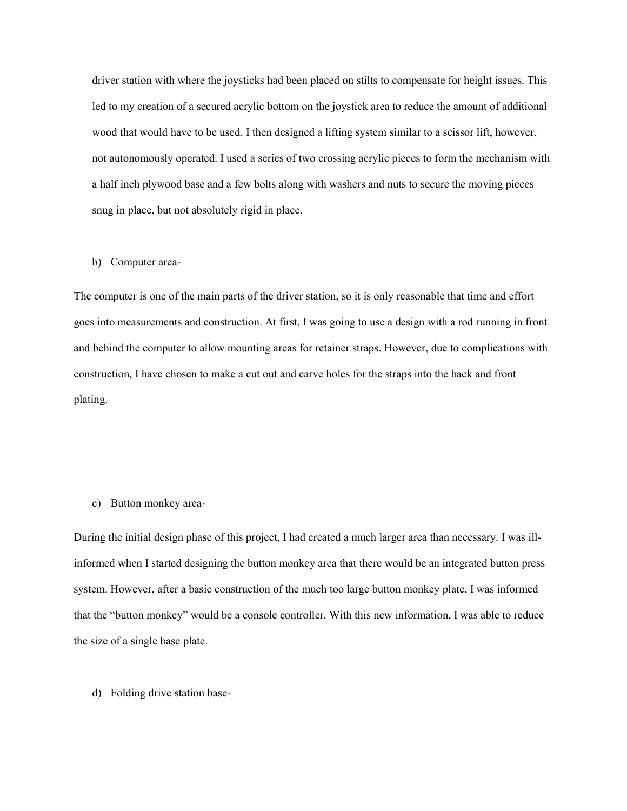driver station with where the joysticks had been placed on stilts to compensate for height issues. This led to my creation of a secured acrylic bottom on the joystick area to reduce the amount of additional wood that would have to be used. I then designed a lifting system similar to a scissor lift, however, not autonomously operated. I used a series of two crossing acrylic pieces to form the mechanism with a half inch plywood base and a few bolts along with washers and nuts to secure the moving pieces snug in place, but not absolutely rigid in place.

#### b) Computer area-

The computer is one of the main parts of the driver station, so it is only reasonable that time and effort goes into measurements and construction. At first, I was going to use a design with a rod running in front and behind the computer to allow mounting areas for retainer straps. However, due to complications with construction, I have chosen to make a cut out and carve holes for the straps into the back and front plating.

#### c) Button monkey area-

During the initial design phase of this project, I had created a much larger area than necessary. I was illinformed when I started designing the button monkey area that there would be an integrated button press system. However, after a basic construction of the much too large button monkey plate, I was informed that the "button monkey" would be a console controller. With this new information, I was able to reduce the size of a single base plate.

d) Folding drive station base-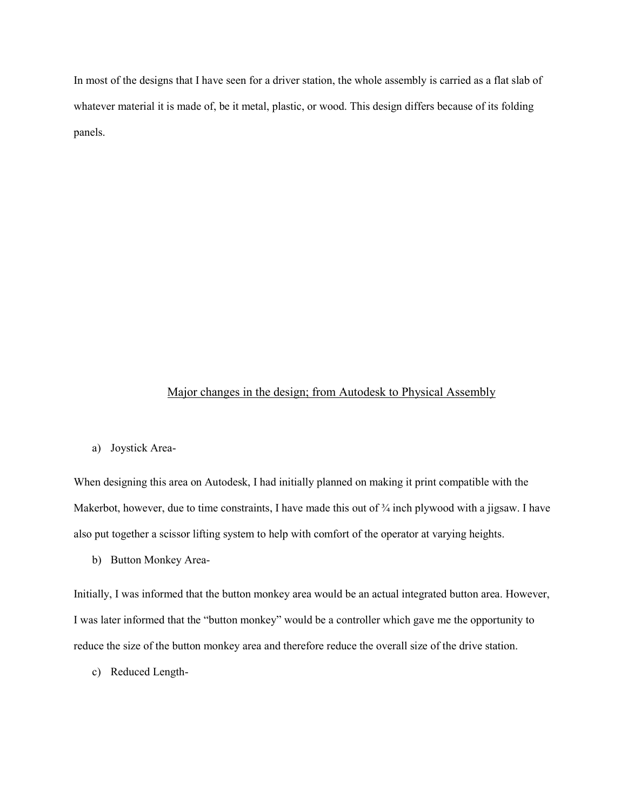In most of the designs that I have seen for a driver station, the whole assembly is carried as a flat slab of whatever material it is made of, be it metal, plastic, or wood. This design differs because of its folding panels.

#### Major changes in the design; from Autodesk to Physical Assembly

a) Joystick Area-

When designing this area on Autodesk, I had initially planned on making it print compatible with the Makerbot, however, due to time constraints, I have made this out of  $\frac{3}{4}$  inch plywood with a jigsaw. I have also put together a scissor lifting system to help with comfort of the operator at varying heights.

b) Button Monkey Area-

Initially, I was informed that the button monkey area would be an actual integrated button area. However, I was later informed that the "button monkey" would be a controller which gave me the opportunity to reduce the size of the button monkey area and therefore reduce the overall size of the drive station.

c) Reduced Length-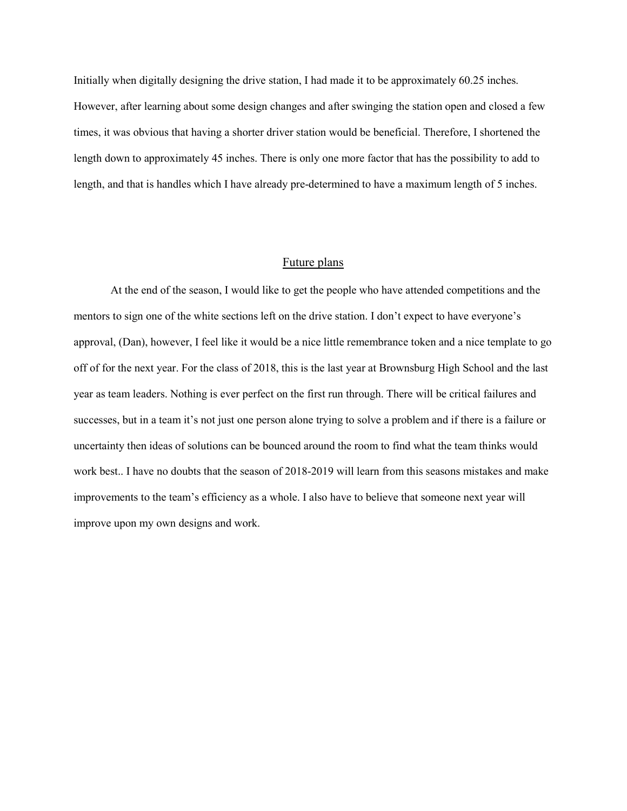Initially when digitally designing the drive station, I had made it to be approximately 60.25 inches. However, after learning about some design changes and after swinging the station open and closed a few times, it was obvious that having a shorter driver station would be beneficial. Therefore, I shortened the length down to approximately 45 inches. There is only one more factor that has the possibility to add to length, and that is handles which I have already pre-determined to have a maximum length of 5 inches.

#### Future plans

 At the end of the season, I would like to get the people who have attended competitions and the mentors to sign one of the white sections left on the drive station. I don't expect to have everyone's approval, (Dan), however, I feel like it would be a nice little remembrance token and a nice template to go off of for the next year. For the class of 2018, this is the last year at Brownsburg High School and the last year as team leaders. Nothing is ever perfect on the first run through. There will be critical failures and successes, but in a team it's not just one person alone trying to solve a problem and if there is a failure or uncertainty then ideas of solutions can be bounced around the room to find what the team thinks would work best.. I have no doubts that the season of 2018-2019 will learn from this seasons mistakes and make improvements to the team's efficiency as a whole. I also have to believe that someone next year will improve upon my own designs and work.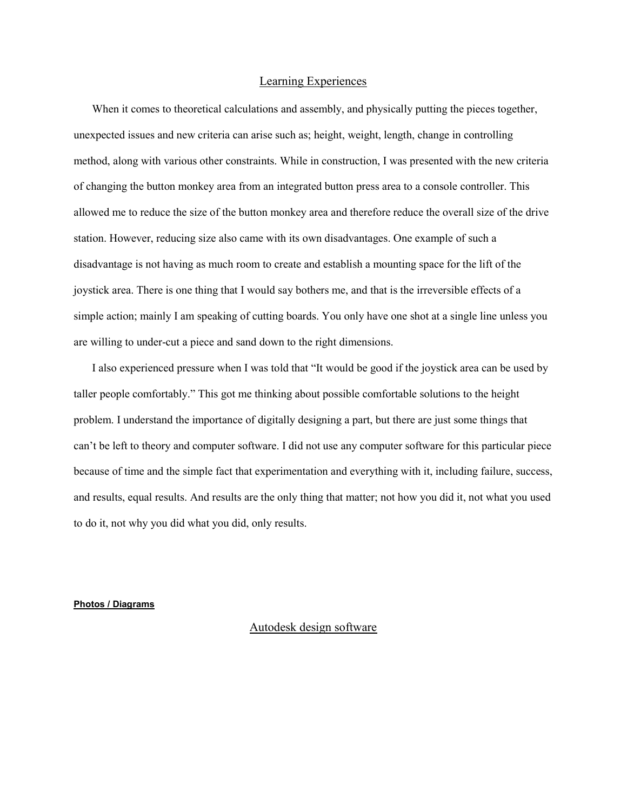### Learning Experiences

When it comes to theoretical calculations and assembly, and physically putting the pieces together, unexpected issues and new criteria can arise such as; height, weight, length, change in controlling method, along with various other constraints. While in construction, I was presented with the new criteria of changing the button monkey area from an integrated button press area to a console controller. This allowed me to reduce the size of the button monkey area and therefore reduce the overall size of the drive station. However, reducing size also came with its own disadvantages. One example of such a disadvantage is not having as much room to create and establish a mounting space for the lift of the joystick area. There is one thing that I would say bothers me, and that is the irreversible effects of a simple action; mainly I am speaking of cutting boards. You only have one shot at a single line unless you are willing to under-cut a piece and sand down to the right dimensions.

I also experienced pressure when I was told that "It would be good if the joystick area can be used by taller people comfortably." This got me thinking about possible comfortable solutions to the height problem. I understand the importance of digitally designing a part, but there are just some things that can't be left to theory and computer software. I did not use any computer software for this particular piece because of time and the simple fact that experimentation and everything with it, including failure, success, and results, equal results. And results are the only thing that matter; not how you did it, not what you used to do it, not why you did what you did, only results.

Photos / Diagrams

## Autodesk design software